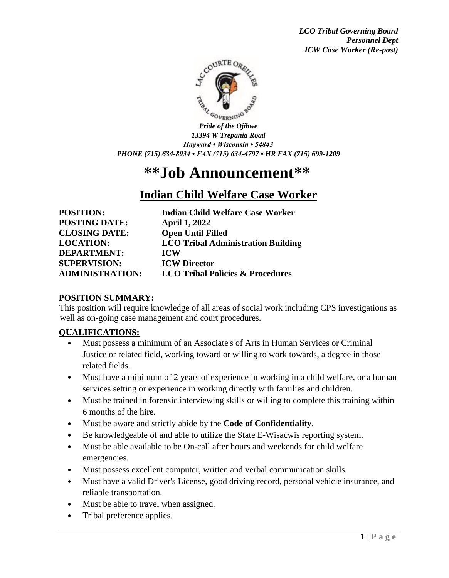

*Pride of the Ojibwe 13394 W Trepania Road Hayward • Wisconsin • 54843 PHONE (715) 634-8934 • FAX (715) 634-4797 • HR FAX (715) 699-1209*

# **\*\*Job Announcement\*\***

## **Indian Child Welfare Case Worker**

| <b>POSITION:</b>                                                                      | <b>Indian Child Welfare Case Worker</b>   |
|---------------------------------------------------------------------------------------|-------------------------------------------|
| <b>POSTING DATE:</b>                                                                  | <b>April 1, 2022</b>                      |
| <b>CLOSING DATE:</b><br><b>LOCATION:</b><br><b>DEPARTMENT:</b><br><b>SUPERVISION:</b> | <b>Open Until Filled</b>                  |
|                                                                                       | <b>LCO Tribal Administration Building</b> |
|                                                                                       | <b>ICW</b><br><b>ICW Director</b>         |
|                                                                                       |                                           |

### **POSITION SUMMARY:**

This position will require knowledge of all areas of social work including CPS investigations as well as on-going case management and court procedures.

### **QUALIFICATIONS:**

- Must possess a minimum of an Associate's of Arts in Human Services or Criminal Justice or related field, working toward or willing to work towards, a degree in those related fields.
- Must have a minimum of 2 years of experience in working in a child welfare, or a human services setting or experience in working directly with families and children.
- Must be trained in forensic interviewing skills or willing to complete this training within 6 months of the hire.
- Must be aware and strictly abide by the **Code of Confidentiality**.
- Be knowledgeable of and able to utilize the State E-Wisacwis reporting system.
- Must be able available to be On-call after hours and weekends for child welfare emergencies.
- Must possess excellent computer, written and verbal communication skills.
- Must have a valid Driver's License, good driving record, personal vehicle insurance, and reliable transportation.
- Must be able to travel when assigned.
- Tribal preference applies.